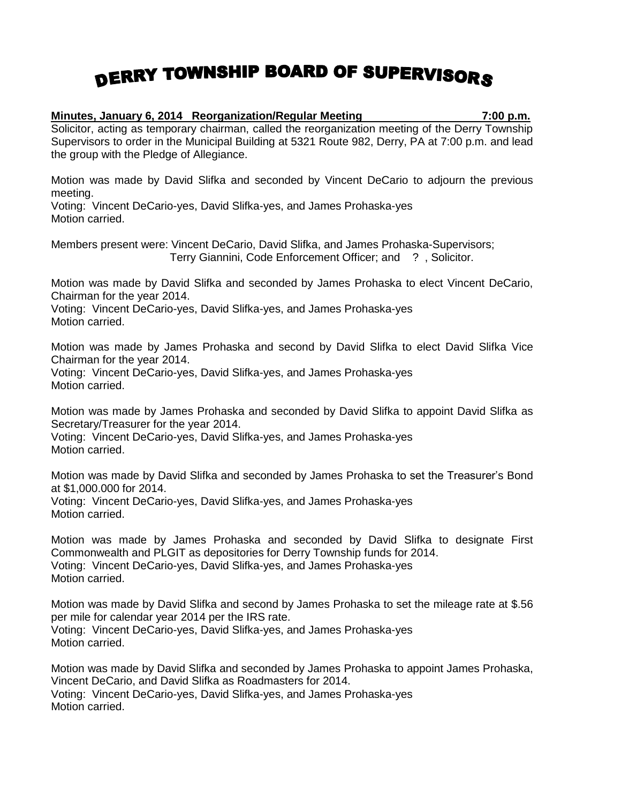## DERRY TOWNSHIP BOARD OF SUPERVISORS

## **Minutes, January 6, 2014 Reorganization/Regular Meeting 7:00 p.m.**

Solicitor, acting as temporary chairman, called the reorganization meeting of the Derry Township Supervisors to order in the Municipal Building at 5321 Route 982, Derry, PA at 7:00 p.m. and lead the group with the Pledge of Allegiance.

Motion was made by David Slifka and seconded by Vincent DeCario to adjourn the previous meeting.

Voting: Vincent DeCario-yes, David Slifka-yes, and James Prohaska-yes Motion carried.

Members present were: Vincent DeCario, David Slifka, and James Prohaska-Supervisors; Terry Giannini, Code Enforcement Officer; and ? , Solicitor.

Motion was made by David Slifka and seconded by James Prohaska to elect Vincent DeCario, Chairman for the year 2014.

Voting: Vincent DeCario-yes, David Slifka-yes, and James Prohaska-yes Motion carried.

Motion was made by James Prohaska and second by David Slifka to elect David Slifka Vice Chairman for the year 2014.

Voting: Vincent DeCario-yes, David Slifka-yes, and James Prohaska-yes Motion carried.

Motion was made by James Prohaska and seconded by David Slifka to appoint David Slifka as Secretary/Treasurer for the year 2014.

Voting: Vincent DeCario-yes, David Slifka-yes, and James Prohaska-yes Motion carried.

Motion was made by David Slifka and seconded by James Prohaska to set the Treasurer's Bond at \$1,000.000 for 2014. Voting: Vincent DeCario-yes, David Slifka-yes, and James Prohaska-yes Motion carried.

Motion was made by James Prohaska and seconded by David Slifka to designate First Commonwealth and PLGIT as depositories for Derry Township funds for 2014. Voting: Vincent DeCario-yes, David Slifka-yes, and James Prohaska-yes Motion carried.

Motion was made by David Slifka and second by James Prohaska to set the mileage rate at \$.56 per mile for calendar year 2014 per the IRS rate. Voting: Vincent DeCario-yes, David Slifka-yes, and James Prohaska-yes Motion carried.

Motion was made by David Slifka and seconded by James Prohaska to appoint James Prohaska, Vincent DeCario, and David Slifka as Roadmasters for 2014. Voting: Vincent DeCario-yes, David Slifka-yes, and James Prohaska-yes Motion carried.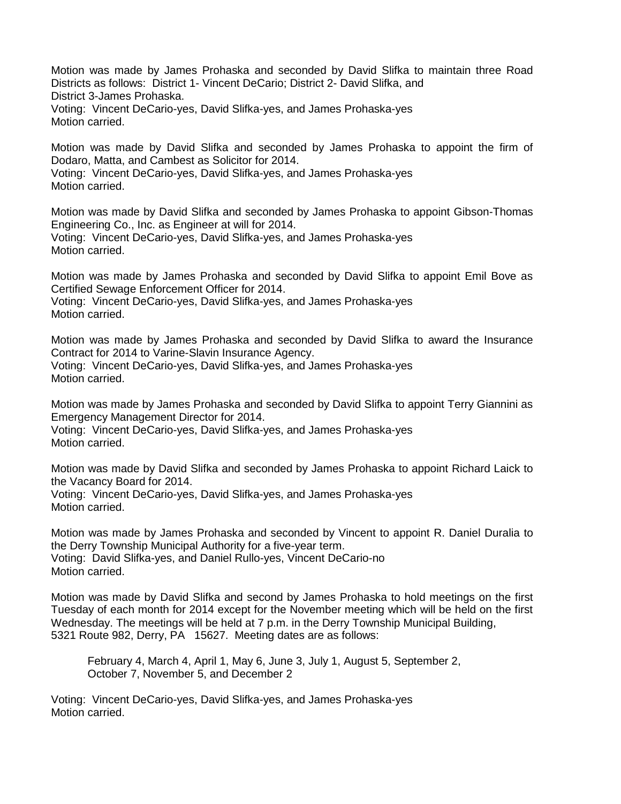Motion was made by James Prohaska and seconded by David Slifka to maintain three Road Districts as follows: District 1- Vincent DeCario; District 2- David Slifka, and District 3-James Prohaska. Voting: Vincent DeCario-yes, David Slifka-yes, and James Prohaska-yes Motion carried.

Motion was made by David Slifka and seconded by James Prohaska to appoint the firm of Dodaro, Matta, and Cambest as Solicitor for 2014. Voting: Vincent DeCario-yes, David Slifka-yes, and James Prohaska-yes Motion carried.

Motion was made by David Slifka and seconded by James Prohaska to appoint Gibson-Thomas Engineering Co., Inc. as Engineer at will for 2014. Voting: Vincent DeCario-yes, David Slifka-yes, and James Prohaska-yes Motion carried.

Motion was made by James Prohaska and seconded by David Slifka to appoint Emil Bove as Certified Sewage Enforcement Officer for 2014.

Voting: Vincent DeCario-yes, David Slifka-yes, and James Prohaska-yes Motion carried.

Motion was made by James Prohaska and seconded by David Slifka to award the Insurance Contract for 2014 to Varine-Slavin Insurance Agency. Voting: Vincent DeCario-yes, David Slifka-yes, and James Prohaska-yes Motion carried.

Motion was made by James Prohaska and seconded by David Slifka to appoint Terry Giannini as Emergency Management Director for 2014.

Voting: Vincent DeCario-yes, David Slifka-yes, and James Prohaska-yes Motion carried.

Motion was made by David Slifka and seconded by James Prohaska to appoint Richard Laick to the Vacancy Board for 2014. Voting: Vincent DeCario-yes, David Slifka-yes, and James Prohaska-yes

Motion carried.

Motion was made by James Prohaska and seconded by Vincent to appoint R. Daniel Duralia to the Derry Township Municipal Authority for a five-year term. Voting: David Slifka-yes, and Daniel Rullo-yes, Vincent DeCario-no Motion carried.

Motion was made by David Slifka and second by James Prohaska to hold meetings on the first Tuesday of each month for 2014 except for the November meeting which will be held on the first Wednesday. The meetings will be held at 7 p.m. in the Derry Township Municipal Building, 5321 Route 982, Derry, PA 15627. Meeting dates are as follows:

February 4, March 4, April 1, May 6, June 3, July 1, August 5, September 2, October 7, November 5, and December 2

Voting: Vincent DeCario-yes, David Slifka-yes, and James Prohaska-yes Motion carried.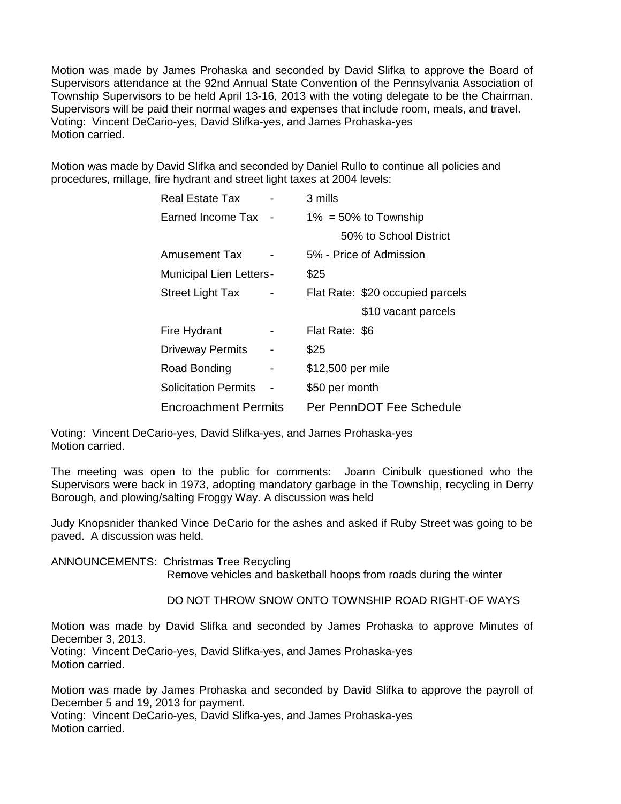Motion was made by James Prohaska and seconded by David Slifka to approve the Board of Supervisors attendance at the 92nd Annual State Convention of the Pennsylvania Association of Township Supervisors to be held April 13-16, 2013 with the voting delegate to be the Chairman. Supervisors will be paid their normal wages and expenses that include room, meals, and travel. Voting: Vincent DeCario-yes, David Slifka-yes, and James Prohaska-yes Motion carried.

Motion was made by David Slifka and seconded by Daniel Rullo to continue all policies and procedures, millage, fire hydrant and street light taxes at 2004 levels:

| Real Estate Tax                |   | 3 mills                          |
|--------------------------------|---|----------------------------------|
| Earned Income Tax              |   | $1\% = 50\%$ to Township         |
|                                |   | 50% to School District           |
| Amusement Tax                  |   | 5% - Price of Admission          |
| <b>Municipal Lien Letters-</b> |   | \$25                             |
| <b>Street Light Tax</b>        |   | Flat Rate: \$20 occupied parcels |
|                                |   | \$10 vacant parcels              |
| Fire Hydrant                   |   | Flat Rate: \$6                   |
| <b>Driveway Permits</b>        | - | \$25                             |
| Road Bonding                   | - | \$12,500 per mile                |
| <b>Solicitation Permits</b>    |   | \$50 per month                   |
| <b>Encroachment Permits</b>    |   | Per PennDOT Fee Schedule         |

Voting: Vincent DeCario-yes, David Slifka-yes, and James Prohaska-yes Motion carried.

The meeting was open to the public for comments: Joann Cinibulk questioned who the Supervisors were back in 1973, adopting mandatory garbage in the Township, recycling in Derry Borough, and plowing/salting Froggy Way. A discussion was held

Judy Knopsnider thanked Vince DeCario for the ashes and asked if Ruby Street was going to be paved. A discussion was held.

ANNOUNCEMENTS: Christmas Tree Recycling Remove vehicles and basketball hoops from roads during the winter

DO NOT THROW SNOW ONTO TOWNSHIP ROAD RIGHT-OF WAYS

Motion was made by David Slifka and seconded by James Prohaska to approve Minutes of December 3, 2013.

Voting: Vincent DeCario-yes, David Slifka-yes, and James Prohaska-yes Motion carried.

Motion was made by James Prohaska and seconded by David Slifka to approve the payroll of December 5 and 19, 2013 for payment.

Voting: Vincent DeCario-yes, David Slifka-yes, and James Prohaska-yes Motion carried.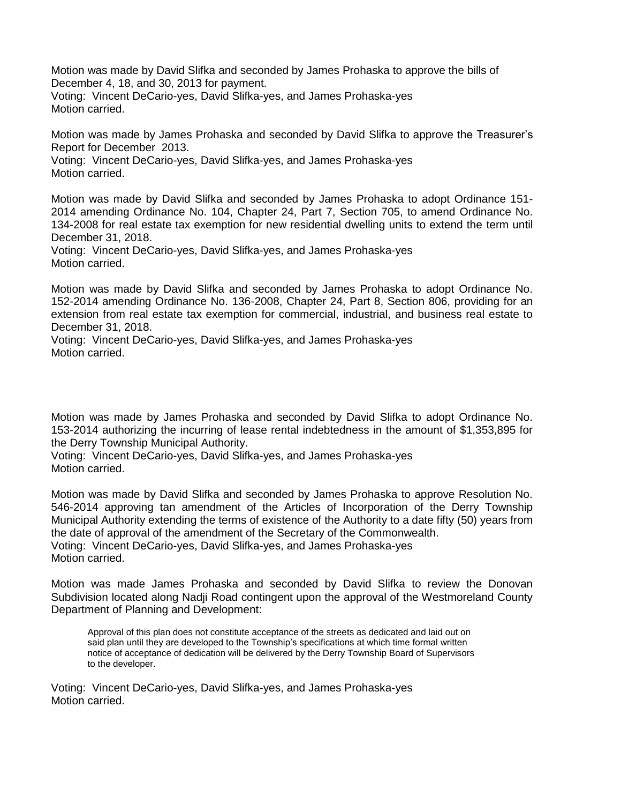Motion was made by David Slifka and seconded by James Prohaska to approve the bills of December 4, 18, and 30, 2013 for payment.

Voting: Vincent DeCario-yes, David Slifka-yes, and James Prohaska-yes Motion carried.

Motion was made by James Prohaska and seconded by David Slifka to approve the Treasurer's Report for December 2013.

Voting: Vincent DeCario-yes, David Slifka-yes, and James Prohaska-yes Motion carried.

Motion was made by David Slifka and seconded by James Prohaska to adopt Ordinance 151- 2014 amending Ordinance No. 104, Chapter 24, Part 7, Section 705, to amend Ordinance No. 134-2008 for real estate tax exemption for new residential dwelling units to extend the term until December 31, 2018.

Voting: Vincent DeCario-yes, David Slifka-yes, and James Prohaska-yes Motion carried.

Motion was made by David Slifka and seconded by James Prohaska to adopt Ordinance No. 152-2014 amending Ordinance No. 136-2008, Chapter 24, Part 8, Section 806, providing for an extension from real estate tax exemption for commercial, industrial, and business real estate to December 31, 2018.

Voting: Vincent DeCario-yes, David Slifka-yes, and James Prohaska-yes Motion carried.

Motion was made by James Prohaska and seconded by David Slifka to adopt Ordinance No. 153-2014 authorizing the incurring of lease rental indebtedness in the amount of \$1,353,895 for the Derry Township Municipal Authority.

Voting: Vincent DeCario-yes, David Slifka-yes, and James Prohaska-yes Motion carried.

Motion was made by David Slifka and seconded by James Prohaska to approve Resolution No. 546-2014 approving tan amendment of the Articles of Incorporation of the Derry Township Municipal Authority extending the terms of existence of the Authority to a date fifty (50) years from the date of approval of the amendment of the Secretary of the Commonwealth. Voting: Vincent DeCario-yes, David Slifka-yes, and James Prohaska-yes Motion carried.

Motion was made James Prohaska and seconded by David Slifka to review the Donovan Subdivision located along Nadji Road contingent upon the approval of the Westmoreland County Department of Planning and Development:

Approval of this plan does not constitute acceptance of the streets as dedicated and laid out on said plan until they are developed to the Township's specifications at which time formal written notice of acceptance of dedication will be delivered by the Derry Township Board of Supervisors to the developer.

Voting: Vincent DeCario-yes, David Slifka-yes, and James Prohaska-yes Motion carried.